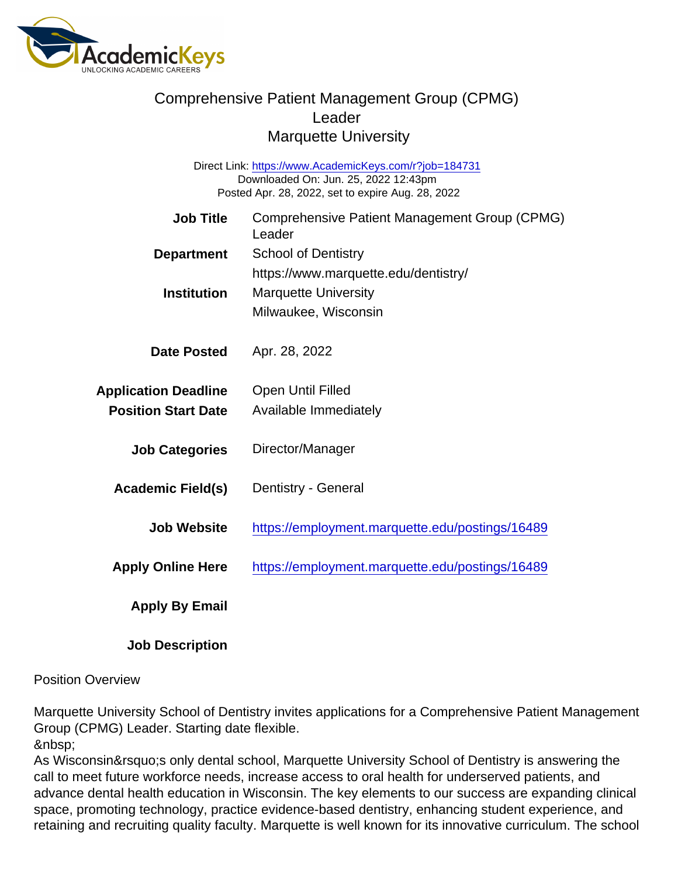## Comprehensive Patient Management Group (CPMG) Leader Marquette University

Direct Link: <https://www.AcademicKeys.com/r?job=184731> Downloaded On: Jun. 25, 2022 12:43pm Posted Apr. 28, 2022, set to expire Aug. 28, 2022

| <b>Job Title</b>            | Comprehensive Patient Management Group (CPMG)<br>Leader |
|-----------------------------|---------------------------------------------------------|
| Department                  | <b>School of Dentistry</b>                              |
|                             | https://www.marquette.edu/dentistry/                    |
| Institution                 | <b>Marquette University</b>                             |
|                             | Milwaukee, Wisconsin                                    |
| Date Posted                 | Apr. 28, 2022                                           |
| <b>Application Deadline</b> | <b>Open Until Filled</b>                                |
| <b>Position Start Date</b>  | Available Immediately                                   |
| <b>Job Categories</b>       | Director/Manager                                        |
| Academic Field(s)           | Dentistry - General                                     |
| Job Website                 | https://employment.marquette.edu/postings/16489         |
| <b>Apply Online Here</b>    | https://employment.marquette.edu/postings/16489         |
| Apply By Email              |                                                         |
|                             |                                                         |

Position Overview

Job Description

Marquette University School of Dentistry invites applications for a Comprehensive Patient Management Group (CPMG) Leader. Starting date flexible.

As Wisconsin's only dental school, Marquette University School of Dentistry is answering the call to meet future workforce needs, increase access to oral health for underserved patients, and advance dental health education in Wisconsin. The key elements to our success are expanding clinical space, promoting technology, practice evidence-based dentistry, enhancing student experience, and retaining and recruiting quality faculty. Marquette is well known for its innovative curriculum. The school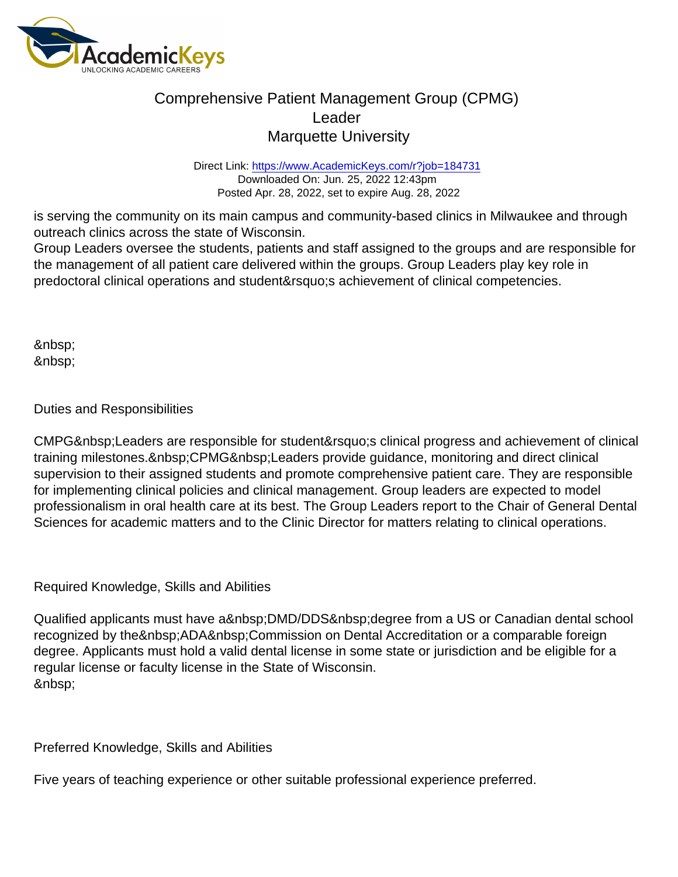# Comprehensive Patient Management Group (CPMG) Leader Marquette University

Direct Link: <https://www.AcademicKeys.com/r?job=184731> Downloaded On: Jun. 25, 2022 12:43pm Posted Apr. 28, 2022, set to expire Aug. 28, 2022

is serving the community on its main campus and community-based clinics in Milwaukee and through outreach clinics across the state of Wisconsin.

Group Leaders oversee the students, patients and staff assigned to the groups and are responsible for the management of all patient care delivered within the groups. Group Leaders play key role in predoctoral clinical operations and student' sachievement of clinical competencies.

 &nbsp:

### Duties and Responsibilities

CMPG Leaders are responsible for student' s clinical progress and achievement of clinical training milestones. CPMG Leaders provide guidance, monitoring and direct clinical supervision to their assigned students and promote comprehensive patient care. They are responsible for implementing clinical policies and clinical management. Group leaders are expected to model professionalism in oral health care at its best. The Group Leaders report to the Chair of General Dental Sciences for academic matters and to the Clinic Director for matters relating to clinical operations.

#### Required Knowledge, Skills and Abilities

Qualified applicants must have a DMD/DDS degree from a US or Canadian dental school recognized by the ADA Commission on Dental Accreditation or a comparable foreign degree. Applicants must hold a valid dental license in some state or jurisdiction and be eligible for a regular license or faculty license in the State of Wisconsin. 

Preferred Knowledge, Skills and Abilities

Five years of teaching experience or other suitable professional experience preferred.